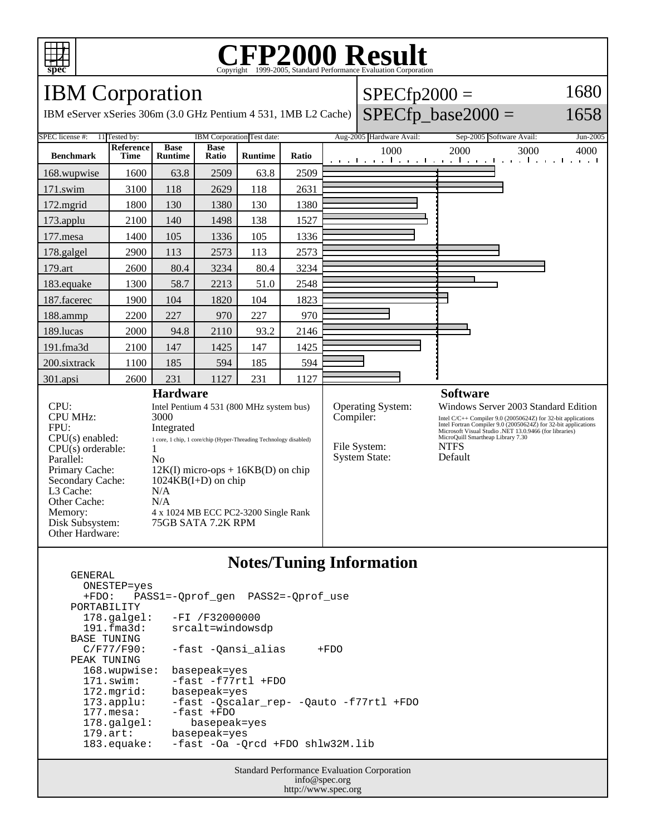

#### **CFP2000 Result** Copyright  $\odot$  1999-2005, Standard I

IBM Corporation

IBM eServer xSeries 306m (3.0 GHz Pentium 4 531, 1MB L2 Cache)

#### $SPECfp2000 =$ 1680

### $SPECfp\_base2000 =$

1658

SPEC license #: 11 Tested by: IBM Corporation Test date: Aug-2005 Hardware Avail: Sep-2005 Software Avail: Jun-2005 **Benchmark Reference Time Base Runtime Base Ratio Runtime Ratio** 1000 2000 3000 4000 168.wupwise 1600 63.8 2509 63.8 2509 171.swim | 3100 | 118 | 2629 | 118 | 2631 172.mgrid | 1800 | 130 | 1380 | 130 | 1380 173.applu | 2100 | 140 | 1498 | 138 | 1527 177.mesa | 1400 | 105 | 1336 | 105 | 1336 178.galgel | 2900 | 113 | 2573 | 113 | 2573 179.art | 2600 | 80.4 | 3234 | 80.4 | 3234 183.equake 1300 58.7 2213 51.0 2548 187.facerec | 1900 | 104 | 1820 | 104 | 1823 188.ammp | 2200 | 227 | 970 | 227 | 970 189.lucas | 2000 | 94.8 | 2110 | 93.2 | 2146 191.fma3d 2100 147 1425 147 1425 200.sixtrack 1100 185 594 185 594 301.apsi 2600 231 1127 231 1127 **Hardware** CPU: Intel Pentium 4 531 (800 MHz system bus) CPU MHz: 3000 FPU: Integrated CPU(s) enabled: 1 core, 1 chip, 1 core/chip (Hyper-Threading Technology disabled)  $CPU(s)$  orderable:  $1$ Parallel: No Primary Cache: 12K(I) micro-ops + 16KB(D) on chip Secondary Cache: 1024KB(I+D) on chip L3 Cache: N/A Other Cache: N/A Memory: 4 x 1024 MB ECC PC2-3200 Single Rank Disk Subsystem: 75GB SATA 7.2K RPM Other Hardware: **Software** Operating System: Windows Server 2003 Standard Edition<br>
Compiler: Intel C/C++ Compiler 9.0 (20050624Z) for 32-bit applications Intel C/C++ Compiler 9.0 (20050624Z) for 32-bit applications Intel Fortran Compiler 9.0 (20050624Z) for 32-bit applications Microsoft Visual Studio .NET 13.0.9466 (for libraries) MicroQuill Smartheap Library 7.30 File System: NTFS<br>System State: Default System State:

#### **Notes/Tuning Information**

 GENERAL ONESTEP=yes +FDO: PASS1=-Qprof\_gen PASS2=-Qprof\_use PORTABILITY<br>178.galgel: -FI /F32000000 191.fma3d: srcalt=windowsdp BASE TUNING<br>C/F77/F90: -fast -Qansi\_alias +FDO PEAK TUNING 168.wupwise: basepeak=yes 171.swim: -fast -f77rtl +FDO 172.mgrid: basepeak=yes<br>173.applu: -fast -Qscala 173.applu: -fast -Qscalar\_rep- -Qauto -f77rtl +FDO -fast +FDO 178.galgel: basepeak=yes 179.art: basepeak=yes 183.equake: -fast -Oa -Qrcd +FDO shlw32M.lib

> Standard Performance Evaluation Corporation info@spec.org http://www.spec.org